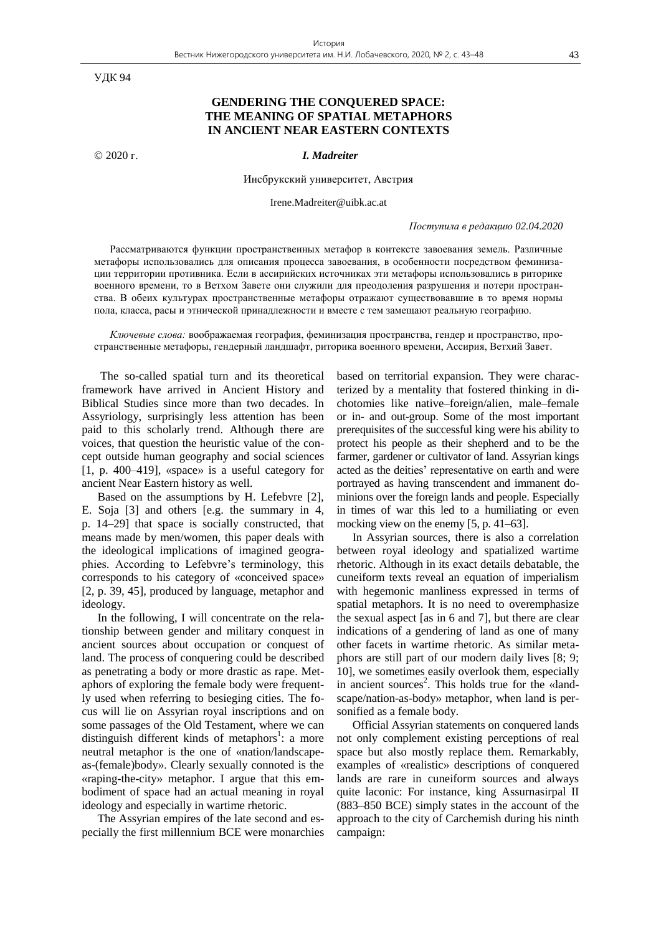УДК 94

# **GENDERING THE CONQUERED SPACE: THE MEANING OF SPATIAL METAPHORS IN ANCIENT NEAR EASTERN CONTEXTS**

2020 г. *I. Madreiter*

Инсбрукский университет, Австрия

Irene.Madreiter@uibk.ac.at

### *Поступила в редакцию 02.04.2020*

Рассматриваются функции пространственных метафор в контексте завоевания земель. Различные метафоры использовались для описания процесса завоевания, в особенности посредством феминизации территории противника. Если в ассирийских источниках эти метафоры использовались в риторике военного времени, то в Ветхом Завете они служили для преодоления разрушения и потери пространства. В обеих культурах пространственные метафоры отражают существовавшие в то время нормы пола, класса, расы и этнической принадлежности и вместе с тем замещают реальную географию.

*Ключевые слова:* воображаемая география, феминизация пространства, гендер и пространство, пространственные метафоры, гендерный ландшафт, риторика военного времени, Ассирия, Ветхий Завет.

The so-called spatial turn and its theoretical framework have arrived in Ancient History and Biblical Studies since more than two decades. In Assyriology, surprisingly less attention has been paid to this scholarly trend. Although there are voices, that question the heuristic value of the concept outside human geography and social sciences [1, p. 400–419], «space» is a useful category for ancient Near Eastern history as well.

Based on the assumptions by H. Lefebvre [2], E. Soja [3] and others [e.g. the summary in 4, p. 14–29] that space is socially constructed, that means made by men/women, this paper deals with the ideological implications of imagined geographies. According to Lefebvre's terminology, this corresponds to his category of «conceived space» [2, p. 39, 45], produced by language, metaphor and ideology.

In the following, I will concentrate on the relationship between gender and military conquest in ancient sources about occupation or conquest of land. The process of conquering could be described as penetrating a body or more drastic as rape. Metaphors of exploring the female body were frequently used when referring to besieging cities. The focus will lie on Assyrian royal inscriptions and on some passages of the Old Testament, where we can distinguish different kinds of metaphors<sup>1</sup>: a more neutral metaphor is the one of «nation/landscapeas-(female)body». Clearly sexually connoted is the «raping-the-city» metaphor. I argue that this embodiment of space had an actual meaning in royal ideology and especially in wartime rhetoric.

The Assyrian empires of the late second and especially the first millennium BCE were monarchies based on territorial expansion. They were characterized by a mentality that fostered thinking in dichotomies like native–foreign/alien, male–female or in- and out-group. Some of the most important prerequisites of the successful king were his ability to protect his people as their shepherd and to be the farmer, gardener or cultivator of land. Assyrian kings acted as the deities' representative on earth and were portrayed as having transcendent and immanent dominions over the foreign lands and people. Especially in times of war this led to a humiliating or even mocking view on the enemy [5, p. 41–63].

In Assyrian sources, there is also a correlation between royal ideology and spatialized wartime rhetoric. Although in its exact details debatable, the cuneiform texts reveal an equation of imperialism with hegemonic manliness expressed in terms of spatial metaphors. It is no need to overemphasize the sexual aspect [as in 6 and 7], but there are clear indications of a gendering of land as one of many other facets in wartime rhetoric. As similar metaphors are still part of our modern daily lives [8; 9; 10], we sometimes easily overlook them, especially in ancient sources<sup>2</sup>. This holds true for the «landscape/nation-as-body» metaphor, when land is personified as a female body.

Official Assyrian statements on conquered lands not only complement existing perceptions of real space but also mostly replace them. Remarkably, examples of «realistic» descriptions of conquered lands are rare in cuneiform sources and always quite laconic: For instance, king Assurnasirpal II (883–850 BCE) simply states in the account of the approach to the city of Carchemish during his ninth campaign: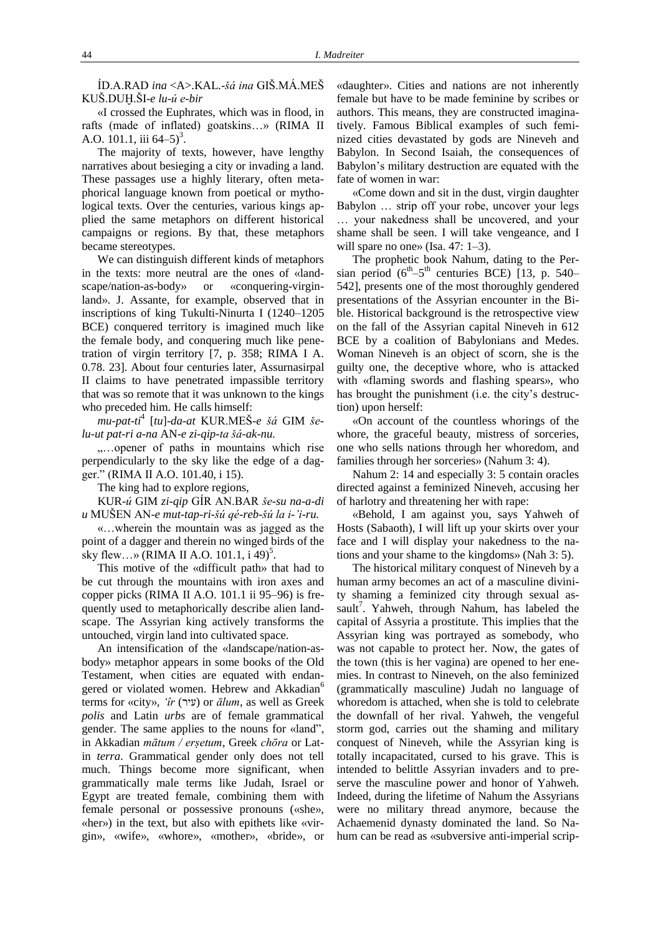ÍD.A.RAD *ina* <A>.KAL.-*šá ina* GIŠ.MÁ.MEŠ KUŠ.DUḪ.ŠI-*e lu-ú e-bir*

«I crossed the Euphrates, which was in flood, in rafts (made of inflated) goatskins…» (RIMA II A.O. 101.1, iii  $64-5$ <sup>3</sup>.

The majority of texts, however, have lengthy narratives about besieging a city or invading a land. These passages use a highly literary, often metaphorical language known from poetical or mythological texts. Over the centuries, various kings applied the same metaphors on different historical campaigns or regions. By that, these metaphors became stereotypes.

We can distinguish different kinds of metaphors in the texts: more neutral are the ones of «landscape/nation-as-body» or «conquering-virginland». J. Assante, for example, observed that in inscriptions of king Tukulti-Ninurta I (1240–1205 BCE) conquered territory is imagined much like the female body, and conquering much like penetration of virgin territory [7, p. 358; RIMA I A. 0.78. 23]. About four centuries later, Assurnasirpal II claims to have penetrated impassible territory that was so remote that it was unknown to the kings who preceded him. He calls himself:

*mu-pat-ti*<sup>4</sup> [*tu*]-*da-at* KUR.MEŠ*-e šá* GIM *šelu-ut pat-ri a-na* AN-*e zi-qip-ta šá-ak-nu.*

....opener of paths in mountains which rise perpendicularly to the sky like the edge of a dagger." (RIMA II A.O. 101.40, i 15).

The king had to explore regions,

KUR-*ú* GIM *zi-qip* GÍR AN.BAR *še-su na-a-di u* MUŠEN AN-*e mut-tap-ri-šú qé-reb-šú la i-'i-ru.*

«…wherein the mountain was as jagged as the point of a dagger and therein no winged birds of the sky flew...» (RIMA II A.O. 101.1,  $\frac{1}{1}$  49)<sup>5</sup>.

This motive of the «difficult path» that had to be cut through the mountains with iron axes and copper picks (RIMA II A.O. 101.1 ii 95–96) is frequently used to metaphorically describe alien landscape. The Assyrian king actively transforms the untouched, virgin land into cultivated space.

An intensification of the «landscape/nation-asbody» metaphor appears in some books of the Old Testament, when cities are equated with endangered or violated women. Hebrew and Akkadian<sup>6</sup> terms for «city», ' $\hat{u}$  (עיר) or  $\bar{a}$ lum, as well as Greek *polis* and Latin *urbs* are of female grammatical gender. The same applies to the nouns for «land", in Akkadian *mātum / erṣetum*, Greek *chōra* or Latin *terra*. Grammatical gender only does not tell much. Things become more significant, when grammatically male terms like Judah, Israel or Egypt are treated female, combining them with female personal or possessive pronouns («she», «her») in the text, but also with epithets like «virgin», «wife», «whore», «mother», «bride», or

«daughter». Cities and nations are not inherently female but have to be made feminine by scribes or authors. This means, they are constructed imaginatively. Famous Biblical examples of such feminized cities devastated by gods are Nineveh and Babylon. In Second Isaiah, the consequences of Babylon's military destruction are equated with the fate of women in war:

«Come down and sit in the dust, virgin daughter Babylon … strip off your robe, uncover your legs … your nakedness shall be uncovered, and your shame shall be seen. I will take vengeance, and I will spare no one» (Isa. 47: 1–3).

The prophetic book Nahum, dating to the Persian period  $(6^{th}-5^{th}$  centuries BCE) [13, p. 540– 542], presents one of the most thoroughly gendered presentations of the Assyrian encounter in the Bible. Historical background is the retrospective view on the fall of the Assyrian capital Nineveh in 612 BCE by a coalition of Babylonians and Medes. Woman Nineveh is an object of scorn, she is the guilty one, the deceptive whore, who is attacked with «flaming swords and flashing spears», who has brought the punishment (i.e. the city's destruction) upon herself:

«On account of the countless whorings of the whore, the graceful beauty, mistress of sorceries, one who sells nations through her whoredom, and families through her sorceries» (Nahum 3: 4).

Nahum 2: 14 and especially 3: 5 contain oracles directed against a feminized Nineveh, accusing her of harlotry and threatening her with rape:

«Behold, I am against you, says Yahweh of Hosts (Sabaoth), I will lift up your skirts over your face and I will display your nakedness to the nations and your shame to the kingdoms» (Nah 3: 5).

The historical military conquest of Nineveh by a human army becomes an act of a masculine divinity shaming a feminized city through sexual assault<sup>7</sup>. Yahweh, through Nahum, has labeled the capital of Assyria a prostitute. This implies that the Assyrian king was portrayed as somebody, who was not capable to protect her. Now, the gates of the town (this is her vagina) are opened to her enemies. In contrast to Nineveh, on the also feminized (grammatically masculine) Judah no language of whoredom is attached, when she is told to celebrate the downfall of her rival. Yahweh, the vengeful storm god, carries out the shaming and military conquest of Nineveh, while the Assyrian king is totally incapacitated, cursed to his grave. This is intended to belittle Assyrian invaders and to preserve the masculine power and honor of Yahweh. Indeed, during the lifetime of Nahum the Assyrians were no military thread anymore, because the Achaemenid dynasty dominated the land. So Nahum can be read as «subversive anti-imperial scrip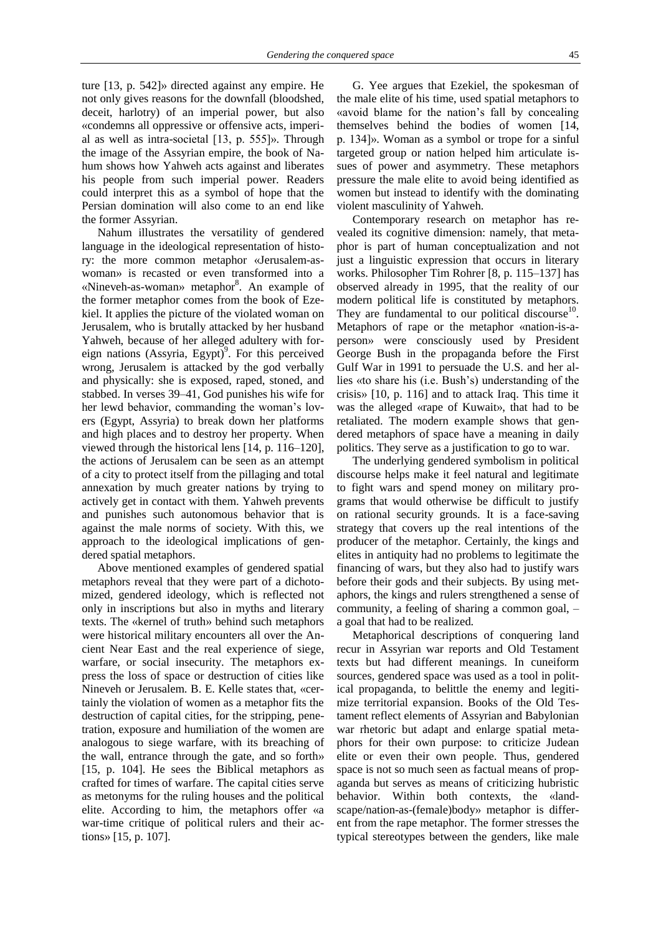ture [13, p. 542]» directed against any empire. He not only gives reasons for the downfall (bloodshed, deceit, harlotry) of an imperial power, but also «condemns all oppressive or offensive acts, imperial as well as intra-societal [13, p. 555]». Through the image of the Assyrian empire, the book of Nahum shows how Yahweh acts against and liberates his people from such imperial power. Readers could interpret this as a symbol of hope that the Persian domination will also come to an end like the former Assyrian.

Nahum illustrates the versatility of gendered language in the ideological representation of history: the more common metaphor «Jerusalem-aswoman» is recasted or even transformed into a «Nineveh-as-woman» metaphor<sup>8</sup>. An example of the former metaphor comes from the book of Ezekiel. It applies the picture of the violated woman on Jerusalem, who is brutally attacked by her husband Yahweh, because of her alleged adultery with foreign nations (Assyria, Egypt)<sup>9</sup>. For this perceived wrong, Jerusalem is attacked by the god verbally and physically: she is exposed, raped, stoned, and stabbed. In verses 39–41, God punishes his wife for her lewd behavior, commanding the woman's lovers (Egypt, Assyria) to break down her platforms and high places and to destroy her property. When viewed through the historical lens [14, p. 116–120], the actions of Jerusalem can be seen as an attempt of a city to protect itself from the pillaging and total annexation by much greater nations by trying to actively get in contact with them. Yahweh prevents and punishes such autonomous behavior that is against the male norms of society. With this, we approach to the ideological implications of gendered spatial metaphors.

Above mentioned examples of gendered spatial metaphors reveal that they were part of a dichotomized, gendered ideology, which is reflected not only in inscriptions but also in myths and literary texts. The «kernel of truth» behind such metaphors were historical military encounters all over the Ancient Near East and the real experience of siege, warfare, or social insecurity. The metaphors express the loss of space or destruction of cities like Nineveh or Jerusalem. B. E. Kelle states that, «certainly the violation of women as a metaphor fits the destruction of capital cities, for the stripping, penetration, exposure and humiliation of the women are analogous to siege warfare, with its breaching of the wall, entrance through the gate, and so forth» [15, p. 104]. He sees the Biblical metaphors as crafted for times of warfare. The capital cities serve as metonyms for the ruling houses and the political elite. According to him, the metaphors offer «a war-time critique of political rulers and their actions» [15, p. 107].

G. Yee argues that Ezekiel, the spokesman of the male elite of his time, used spatial metaphors to «avoid blame for the nation's fall by concealing themselves behind the bodies of women [14, p. 134]». Woman as a symbol or trope for a sinful targeted group or nation helped him articulate issues of power and asymmetry. These metaphors pressure the male elite to avoid being identified as women but instead to identify with the dominating violent masculinity of Yahweh.

Contemporary research on metaphor has revealed its cognitive dimension: namely, that metaphor is part of human conceptualization and not just a linguistic expression that occurs in literary works. Philosopher Tim Rohrer [8, p. 115–137] has observed already in 1995, that the reality of our modern political life is constituted by metaphors. They are fundamental to our political discourse<sup>10</sup>. Metaphors of rape or the metaphor «nation-is-aperson» were consciously used by President George Bush in the propaganda before the First Gulf War in 1991 to persuade the U.S. and her allies «to share his (i.e. Bush's) understanding of the crisis» [10, p. 116] and to attack Iraq. This time it was the alleged «rape of Kuwait», that had to be retaliated. The modern example shows that gendered metaphors of space have a meaning in daily politics. They serve as a justification to go to war.

The underlying gendered symbolism in political discourse helps make it feel natural and legitimate to fight wars and spend money on military programs that would otherwise be difficult to justify on rational security grounds. It is a face-saving strategy that covers up the real intentions of the producer of the metaphor. Certainly, the kings and elites in antiquity had no problems to legitimate the financing of wars, but they also had to justify wars before their gods and their subjects. By using metaphors, the kings and rulers strengthened a sense of community, a feeling of sharing a common goal, – a goal that had to be realized.

Metaphorical descriptions of conquering land recur in Assyrian war reports and Old Testament texts but had different meanings. In cuneiform sources, gendered space was used as a tool in political propaganda, to belittle the enemy and legitimize territorial expansion. Books of the Old Testament reflect elements of Assyrian and Babylonian war rhetoric but adapt and enlarge spatial metaphors for their own purpose: to criticize Judean elite or even their own people. Thus, gendered space is not so much seen as factual means of propaganda but serves as means of criticizing hubristic behavior. Within both contexts, the «landscape/nation-as-(female)body» metaphor is different from the rape metaphor. The former stresses the typical stereotypes between the genders, like male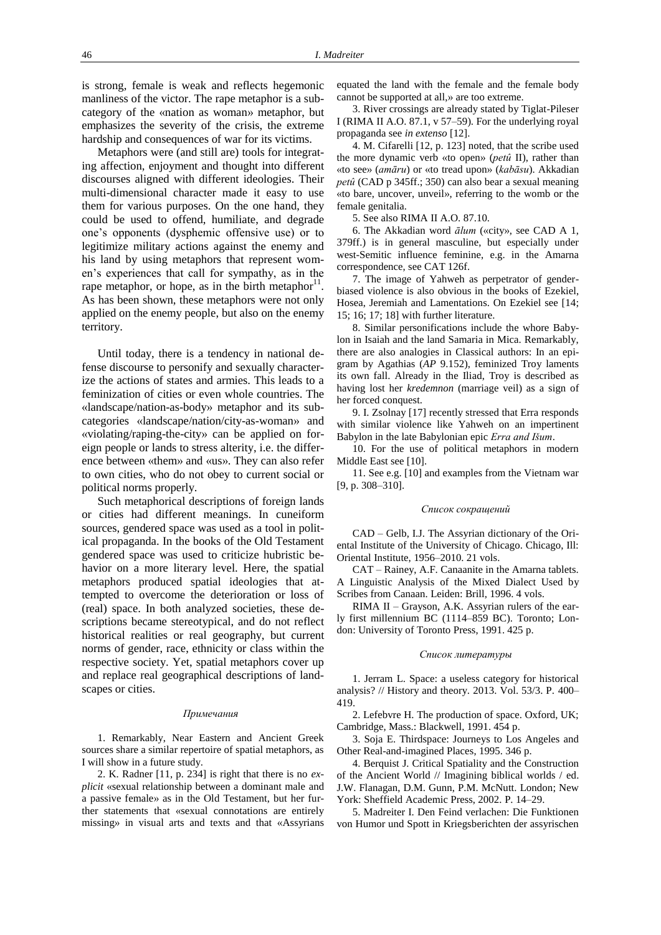is strong, female is weak and reflects hegemonic manliness of the victor. The rape metaphor is a subcategory of the «nation as woman» metaphor, but emphasizes the severity of the crisis, the extreme hardship and consequences of war for its victims.

Metaphors were (and still are) tools for integrating affection, enjoyment and thought into different discourses aligned with different ideologies. Their multi-dimensional character made it easy to use them for various purposes. On the one hand, they could be used to offend, humiliate, and degrade one's opponents (dysphemic offensive use) or to legitimize military actions against the enemy and his land by using metaphors that represent women's experiences that call for sympathy, as in the rape metaphor, or hope, as in the birth metaphor $^{11}$ . As has been shown, these metaphors were not only applied on the enemy people, but also on the enemy territory.

Until today, there is a tendency in national defense discourse to personify and sexually characterize the actions of states and armies. This leads to a feminization of cities or even whole countries. The «landscape/nation-as-body» metaphor and its subcategories «landscape/nation/city-as-woman» and «violating/raping-the-city» can be applied on foreign people or lands to stress alterity, i.e. the difference between «them» and «us». They can also refer to own cities, who do not obey to current social or political norms properly.

Such metaphorical descriptions of foreign lands or cities had different meanings. In cuneiform sources, gendered space was used as a tool in political propaganda. In the books of the Old Testament gendered space was used to criticize hubristic behavior on a more literary level. Here, the spatial metaphors produced spatial ideologies that attempted to overcome the deterioration or loss of (real) space. In both analyzed societies, these descriptions became stereotypical, and do not reflect historical realities or real geography, but current norms of gender, race, ethnicity or class within the respective society. Yet, spatial metaphors cover up and replace real geographical descriptions of landscapes or cities.

#### *Примечания*

1. Remarkably, Near Eastern and Ancient Greek sources share a similar repertoire of spatial metaphors, as I will show in a future study.

2. K. Radner [11, p. 234] is right that there is no *explicit* «sexual relationship between a dominant male and a passive female» as in the Old Testament, but her further statements that «sexual connotations are entirely missing» in visual arts and texts and that «Assyrians equated the land with the female and the female body cannot be supported at all,» are too extreme.

3. River crossings are already stated by Tiglat-Pileser I (RIMA II A.O. 87.1, v 57–59). For the underlying royal propaganda see *in extenso* [12].

4. M. Cifarelli [12, p. 123] noted, that the scribe used the more dynamic verb «to open» (*petû* II), rather than «to see» (*amāru*) or «to tread upon» (*kabāsu*). Akkadian *petû* (CAD p 345ff.; 350) can also bear a sexual meaning «to bare, uncover, unveil», referring to the womb or the female genitalia.

5. See also RIMA II A.O. 87.10.

6. The Akkadian word *ālum* («city», see CAD A 1, 379ff.) is in general masculine, but especially under west-Semitic influence feminine, e.g. in the Amarna correspondence, see CAT 126f.

7. The image of Yahweh as perpetrator of genderbiased violence is also obvious in the books of Ezekiel, Hosea, Jeremiah and Lamentations. On Ezekiel see [14; 15; 16; 17; 18] with further literature.

8. Similar personifications include the whore Babylon in Isaiah and the land Samaria in Mica. Remarkably, there are also analogies in Classical authors: In an epigram by Agathias (*AP* 9.152), feminized Troy laments its own fall. Already in the Iliad, Troy is described as having lost her *kredemnon* (marriage veil) as a sign of her forced conquest.

9. I. Zsolnay [17] recently stressed that Erra responds with similar violence like Yahweh on an impertinent Babylon in the late Babylonian epic *Erra and Išum*.

10. For the use of political metaphors in modern Middle East see [10].

11. See e.g. [10] and examples from the Vietnam war [9, p. 308–310].

#### *Список сокращений*

CAD – Gelb, I.J. The Assyrian dictionary of the Oriental Institute of the University of Chicago. Chicago, Ill: Oriental Institute, 1956–2010. 21 vols.

CAT – Rainey, A.F. Canaanite in the Amarna tablets. A Linguistic Analysis of the Mixed Dialect Used by Scribes from Canaan. Leiden: Brill, 1996. 4 vols.

RIMA II – Grayson, A.K. Assyrian rulers of the early first millennium BC (1114–859 BC). Toronto; London: University of Toronto Press, 1991. 425 p.

#### *Список литературы*

1. Jerram L. Space: a useless category for historical analysis? // History and theory. 2013. Vol. 53/3. P. 400– 419.

2. Lefebvre H. The production of space. Oxford, UK; Cambridge, Mass.: Blackwell, 1991. 454 p.

3. Soja E. Thirdspace: Journeys to Los Angeles and Other Real-and-imagined Places, 1995. 346 p.

4. Berquist J. Critical Spatiality and the Construction of the Ancient World // Imagining biblical worlds / ed. J.W. Flanagan, D.M. Gunn, P.M. McNutt. London; New York: Sheffield Academic Press, 2002. P. 14–29.

5. Madreiter I. Den Feind verlachen: Die Funktionen von Humor und Spott in Kriegsberichten der assyrischen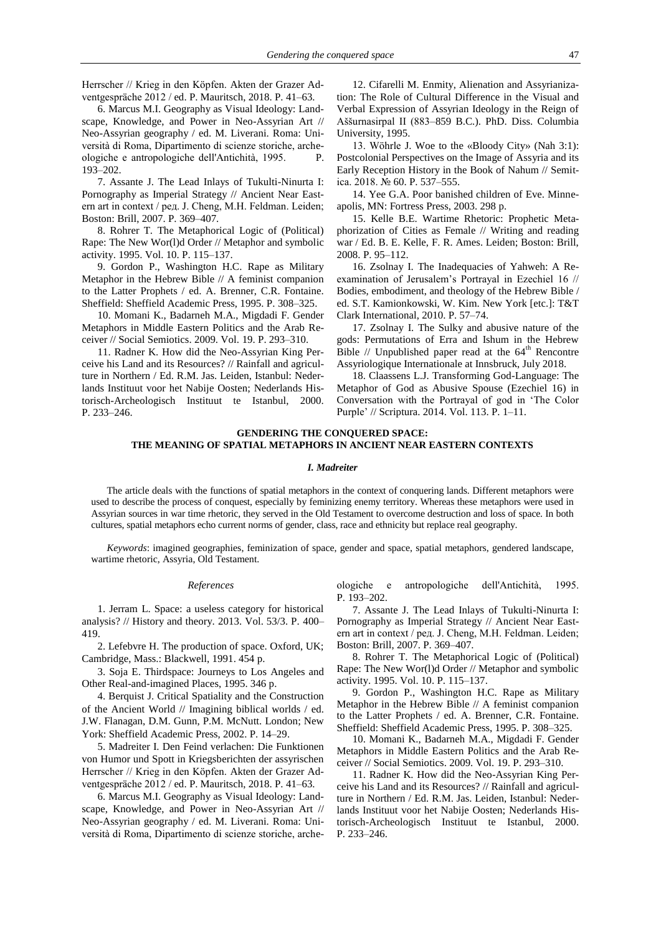Herrscher // Krieg in den Köpfen. Akten der Grazer Adventgespräche 2012 / ed. P. Mauritsch, 2018. P. 41–63.

6. Marcus M.I. Geography as Visual Ideology: Landscape, Knowledge, and Power in Neo-Assyrian Art // Neo-Assyrian geography / ed. M. Liverani. Roma: Università di Roma, Dipartimento di scienze storiche, archeologiche e antropologiche dell'Antichità, 1995. P. 193–202.

7. Assante J. The Lead Inlays of Tukulti-Ninurta I: Pornography as Imperial Strategy // Ancient Near Eastern art in context / ред. J. Cheng, M.H. Feldman. Leiden; Boston: Brill, 2007. P. 369–407.

8. Rohrer T. The Metaphorical Logic of (Political) Rape: The New Wor(l)d Order // Metaphor and symbolic activity. 1995. Vol. 10. P. 115–137.

9. Gordon P., Washington H.C. Rape as Military Metaphor in the Hebrew Bible // A feminist companion to the Latter Prophets / ed. A. Brenner, C.R. Fontaine. Sheffield: Sheffield Academic Press, 1995. P. 308–325.

10. Momani K., Badarneh M.A., Migdadi F. Gender Metaphors in Middle Eastern Politics and the Arab Receiver // Social Semiotics. 2009. Vol. 19. P. 293–310.

11. Radner K. How did the Neo-Assyrian King Perceive his Land and its Resources? // Rainfall and agriculture in Northern / Ed. R.M. Jas. Leiden, Istanbul: Nederlands Instituut voor het Nabije Oosten; Nederlands Historisch-Archeologisch Instituut te Istanbul, 2000. P. 233–246.

12. Cifarelli M. Enmity, Alienation and Assyrianization: The Role of Cultural Difference in the Visual and Verbal Expression of Assyrian Ideology in the Reign of Aššurnasirpal II (883–859 B.C.). PhD. Diss. Columbia University, 1995.

13. Wöhrle J. Woe to the «Bloody City» (Nah 3:1): Postcolonial Perspectives on the Image of Assyria and its Early Reception History in the Book of Nahum // Semitica. 2018. № 60. P. 537–555.

14. Yee G.A. Poor banished children of Eve. Minneapolis, MN: Fortress Press, 2003. 298 p.

15. Kelle B.E. Wartime Rhetoric: Prophetic Metaphorization of Cities as Female // Writing and reading war / Ed. B. E. Kelle, F. R. Ames. Leiden; Boston: Brill, 2008. P. 95–112.

16. Zsolnay I. The Inadequacies of Yahweh: A Reexamination of Jerusalem's Portrayal in Ezechiel 16 // Bodies, embodiment, and theology of the Hebrew Bible / ed. S.T. Kamionkowski, W. Kim. New York [etc.]: T&T Clark International, 2010. P. 57–74.

17. Zsolnay I. The Sulky and abusive nature of the gods: Permutations of Erra and Ishum in the Hebrew Bible // Unpublished paper read at the  $64<sup>th</sup>$  Rencontre Assyriologique Internationale at Innsbruck, July 2018.

18. Claassens L.J. Transforming God-Language: The Metaphor of God as Abusive Spouse (Ezechiel 16) in Conversation with the Portrayal of god in 'The Color Purple' // Scriptura. 2014. Vol. 113. P. 1–11.

## **GENDERING THE CONQUERED SPACE: THE MEANING OF SPATIAL METAPHORS IN ANCIENT NEAR EASTERN CONTEXTS**

## *I. Madreiter*

The article deals with the functions of spatial metaphors in the context of conquering lands. Different metaphors were used to describe the process of conquest, especially by feminizing enemy territory. Whereas these metaphors were used in Assyrian sources in war time rhetoric, they served in the Old Testament to overcome destruction and loss of space. In both cultures, spatial metaphors echo current norms of gender, class, race and ethnicity but replace real geography.

*Keywords*: imagined geographies, feminization of space, gender and space, spatial metaphors, gendered landscape, wartime rhetoric, Assyria, Old Testament.

## *References*

1. Jerram L. Space: a useless category for historical analysis? // History and theory. 2013. Vol. 53/3. P. 400– 419.

2. Lefebvre H. The production of space. Oxford, UK; Cambridge, Mass.: Blackwell, 1991. 454 p.

3. Soja E. Thirdspace: Journeys to Los Angeles and Other Real-and-imagined Places, 1995. 346 p.

4. Berquist J. Critical Spatiality and the Construction of the Ancient World // Imagining biblical worlds / ed. J.W. Flanagan, D.M. Gunn, P.M. McNutt. London; New York: Sheffield Academic Press, 2002. P. 14–29.

5. Madreiter I. Den Feind verlachen: Die Funktionen von Humor und Spott in Kriegsberichten der assyrischen Herrscher // Krieg in den Köpfen. Akten der Grazer Adventgespräche 2012 / ed. P. Mauritsch, 2018. P. 41–63.

6. Marcus M.I. Geography as Visual Ideology: Landscape, Knowledge, and Power in Neo-Assyrian Art // Neo-Assyrian geography / ed. M. Liverani. Roma: Università di Roma, Dipartimento di scienze storiche, archeologiche e antropologiche dell'Antichità, 1995. P. 193–202.

7. Assante J. The Lead Inlays of Tukulti-Ninurta I: Pornography as Imperial Strategy // Ancient Near Eastern art in context / ред. J. Cheng, M.H. Feldman. Leiden; Boston: Brill, 2007. P. 369–407.

8. Rohrer T. The Metaphorical Logic of (Political) Rape: The New Wor(l)d Order // Metaphor and symbolic activity. 1995. Vol. 10. P. 115–137.

9. Gordon P., Washington H.C. Rape as Military Metaphor in the Hebrew Bible // A feminist companion to the Latter Prophets / ed. A. Brenner, C.R. Fontaine. Sheffield: Sheffield Academic Press, 1995. P. 308–325.

10. Momani K., Badarneh M.A., Migdadi F. Gender Metaphors in Middle Eastern Politics and the Arab Receiver // Social Semiotics. 2009. Vol. 19. P. 293–310.

11. Radner K. How did the Neo-Assyrian King Perceive his Land and its Resources? // Rainfall and agriculture in Northern / Ed. R.M. Jas. Leiden, Istanbul: Nederlands Instituut voor het Nabije Oosten; Nederlands Historisch-Archeologisch Instituut te Istanbul, 2000. P. 233–246.